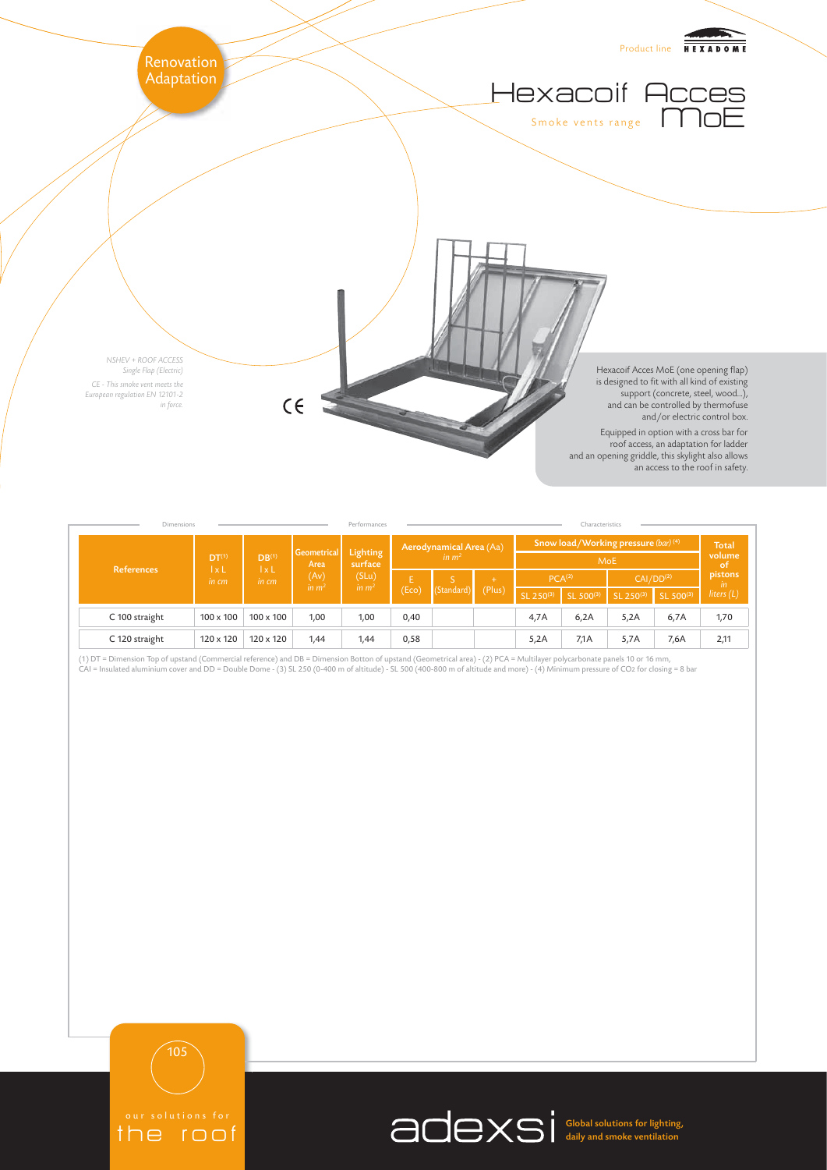

| <b>Dimensions</b> | Characteristics<br>Performances            |                                            |                                                  |                                         |                                              |            |             |                                                    |           |                       |           |                              |
|-------------------|--------------------------------------------|--------------------------------------------|--------------------------------------------------|-----------------------------------------|----------------------------------------------|------------|-------------|----------------------------------------------------|-----------|-----------------------|-----------|------------------------------|
| <b>References</b> | DT <sup>(1)</sup><br>$1 \times L$<br>in cm | DB <sup>(1)</sup><br>$1 \times L$<br>in cm | Geometrical<br>Area<br>(Av)<br>in m <sup>2</sup> | Lighting<br>surface<br>(SLu)<br>in $m2$ | Aerodynamical Area (Aa)<br>in m <sup>2</sup> |            |             | Snow load/Working pressure (bar) (4)<br><b>MoE</b> |           |                       |           | <b>Total</b><br>volume<br>of |
|                   |                                            |                                            |                                                  |                                         | E<br>(Eco)                                   | (Standard) | ÷<br>(Plus) | PCA <sup>(2)</sup>                                 |           | CAI/DD <sup>(2)</sup> |           | pistons<br><i>in</i>         |
|                   |                                            |                                            |                                                  |                                         |                                              |            |             | $SL$ 250 $(3)$                                     | SL 500(3) | SL 250(3)             | SL 500(3) | liters $(L)$                 |
| C 100 straight    | $100 \times 100$                           | $100 \times 100$                           | 1,00                                             | 1,00                                    | 0,40                                         |            |             | 4,7A                                               | 6,2A      | 5,2A                  | 6,7A      | 1,70                         |
| C 120 straight    | $120 \times 120$                           | $120 \times 120$                           | 1,44                                             | 1,44                                    | 0,58                                         |            |             | 5,2A                                               | 7,1 A     | 5,7A                  | 7,6A      | 2,11                         |

(1) DT = Dimension Top of upstand (Commercial reference) and DB = Dimension Botton of upstand (Geometrical area) - (2) PCA = Multilayer polycarbonate panels 10 or 16 mm,<br>CAI = Insulated aluminium cover and DD = Double Dome



105

the roof

Global solutions for lighting, daily and smoke ventilation